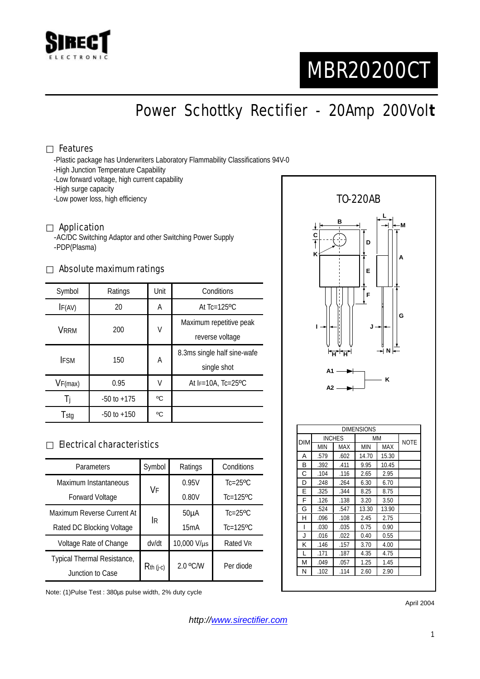

# MBR20200CT

Power Schottky Rectifier - 20Amp 200Vol**t**

#### Features

-Plastic package has Underwriters Laboratory Flammability Classifications 94V-0

- -High Junction Temperature Capability
- -Low forward voltage, high current capability

-High surge capacity

-Low power loss, high efficiency

#### Application

-AC/DC Switching Adaptor and other Switching Power Supply -PDP(Plasma)

#### Absolute maximum ratings

| Symbol      | Ratings         | Unit | Conditions                                 |  |
|-------------|-----------------|------|--------------------------------------------|--|
| IF(AV)      | 20              | A    | At $Tc=125$ <sup>o</sup> $C$               |  |
| VRRM        | 200             | V    | Maximum repetitive peak<br>reverse voltage |  |
| <b>IFSM</b> | 150             | А    | 8.3ms single half sine-wafe<br>single shot |  |
| VF(max)     | 0.95            | V    | At $F=10A$ , Tc=25°C                       |  |
| Ιi          | $-50$ to $+175$ | °C   |                                            |  |
| Tstg        | $-50$ to $+150$ | °C   |                                            |  |

### Electrical characteristics

| Parameters                  | Symbol      | Ratings           | Conditions                |
|-----------------------------|-------------|-------------------|---------------------------|
| Maximum Instantaneous       | VF          | 0.95V             | $Tc=25$ <sup>o</sup> $C$  |
| <b>Forward Voltage</b>      |             | 0.80V             | $Tc=125$ <sup>o</sup> $C$ |
| Maximum Reverse Current At  | <b>IR</b>   | 50 <sub>µ</sub> A | $Tc=25$ <sup>o</sup> $C$  |
| Rated DC Blocking Voltage   |             | 15mA              | $Tc=125$ <sup>o</sup> $C$ |
| Voltage Rate of Change      | dv/dt       | 10,000 V/µs       | Rated VR                  |
| Typical Thermal Resistance, | $Rth$ (j-c) | 2.0 °C/W          | Per diode                 |
| Junction to Case            |             |                   |                           |

Note: (1)Pulse Test : 380µs pulse width, 2% duty cycle



April 2004